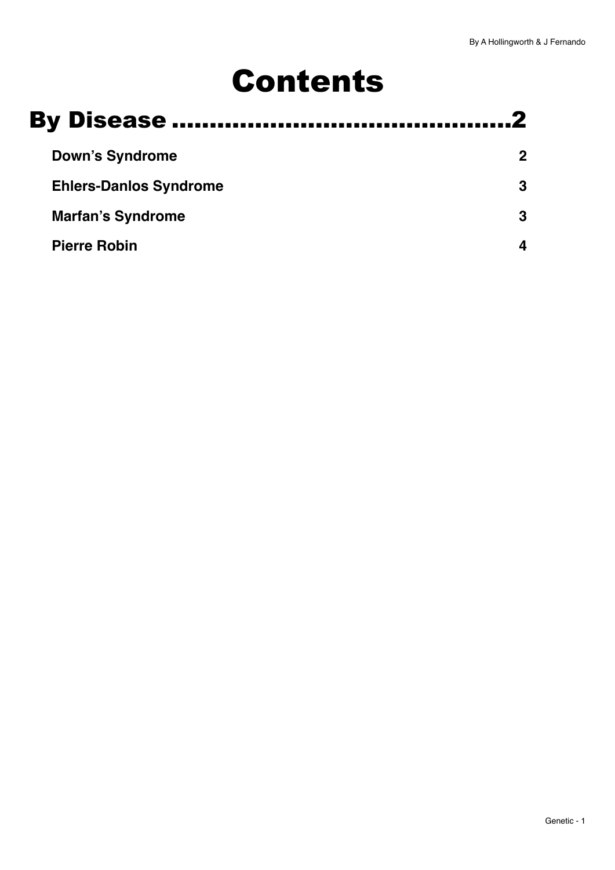# Contents

| <b>Down's Syndrome</b>        |  |
|-------------------------------|--|
|                               |  |
| <b>Ehlers-Danlos Syndrome</b> |  |
| <b>Marfan's Syndrome</b>      |  |
| <b>Pierre Robin</b>           |  |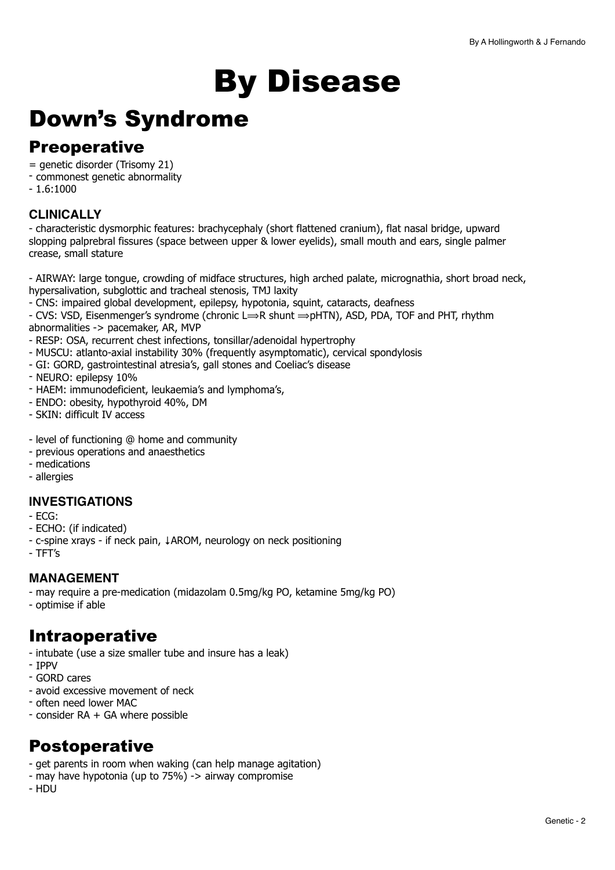# <span id="page-1-0"></span>By Disease

## <span id="page-1-1"></span>Down's Syndrome

## **Preoperative**

- = genetic disorder (Trisomy 21)
- commonest genetic abnormality
- $-1.6:1000$

#### **CLINICALLY**

- characteristic dysmorphic features: brachycephaly (short flattened cranium), flat nasal bridge, upward slopping palprebral fissures (space between upper & lower eyelids), small mouth and ears, single palmer crease, small stature

- AIRWAY: large tongue, crowding of midface structures, high arched palate, micrognathia, short broad neck, hypersalivation, subglottic and tracheal stenosis, TMJ laxity

- CNS: impaired global development, epilepsy, hypotonia, squint, cataracts, deafness

- CVS: VSD, Eisenmenger's syndrome (chronic  $L \Rightarrow R$  shunt  $\Rightarrow$  pHTN), ASD, PDA, TOF and PHT, rhythm abnormalities -> pacemaker, AR, MVP

- RESP: OSA, recurrent chest infections, tonsillar/adenoidal hypertrophy
- MUSCU: atlanto-axial instability 30% (frequently asymptomatic), cervical spondylosis
- GI: GORD, gastrointestinal atresia's, gall stones and Coeliac's disease
- NEURO: epilepsy 10%
- HAEM: immunodeficient, leukaemia's and lymphoma's,
- ENDO: obesity, hypothyroid 40%, DM
- SKIN: difficult IV access
- level of functioning @ home and community
- previous operations and anaesthetics
- medications
- allergies

#### **INVESTIGATIONS**

- ECG:
- ECHO: (if indicated)
- c-spine xrays if neck pain, ↓AROM, neurology on neck positioning
- TFT's

#### **MANAGEMENT**

- may require a pre-medication (midazolam 0.5mg/kg PO, ketamine 5mg/kg PO)

- optimise if able

## Intraoperative

- intubate (use a size smaller tube and insure has a leak)
- IPPV
- GORD cares
- avoid excessive movement of neck
- often need lower MAC
- consider RA + GA where possible

## Postoperative

- get parents in room when waking (can help manage agitation)
- may have hypotonia (up to 75%) -> airway compromise
- HDU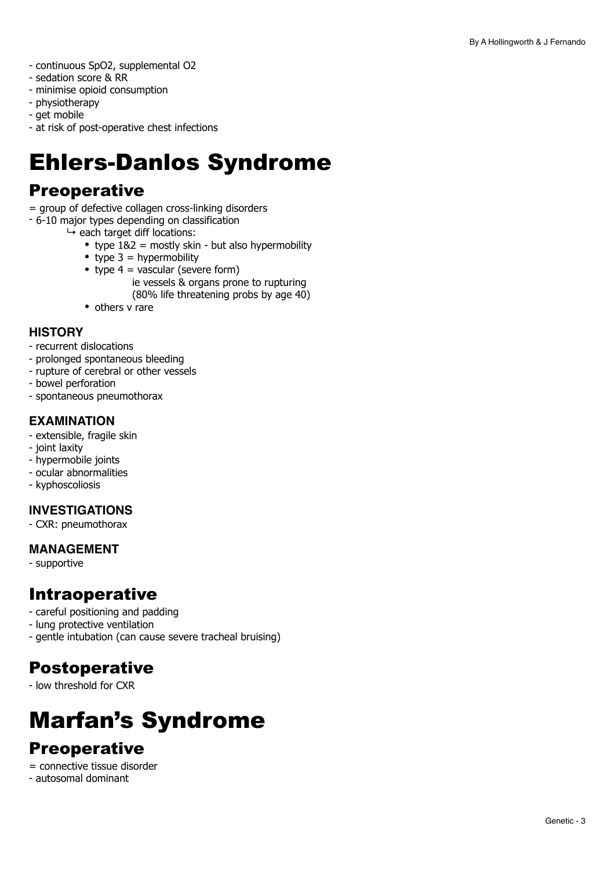- continuous SpO2, supplemental O2
- sedation score & RR
- minimise opioid consumption
- physiotherapy
- get mobile
- at risk of post-operative chest infections

## <span id="page-2-0"></span>Ehlers-Danlos Syndrome

## **Preoperative**

- = group of defective collagen cross-linking disorders
- 6-10 major types depending on classification
	- $ightharpoonup$  each target diff locations:
		- type  $182$  = mostly skin but also hypermobility
		- type  $3 =$  hypermobility
		- type  $4 = \sqrt{\text{v}^2 + \text{v}^2}$  (severe form)
			- ie vessels & organs prone to rupturing
				- (80% life threatening probs by age 40)
		- others v rare

#### **HISTORY**

- recurrent dislocations
- prolonged spontaneous bleeding
- rupture of cerebral or other vessels
- bowel perforation
- spontaneous pneumothorax

#### **EXAMINATION**

- extensible, fragile skin
- joint laxity
- hypermobile joints
- ocular abnormalities
- kyphoscoliosis

#### **INVESTIGATIONS**

- CXR: pneumothorax

#### **MANAGEMENT**

- supportive

## Intraoperative

- careful positioning and padding
- lung protective ventilation
- gentle intubation (can cause severe tracheal bruising)

## Postoperative

- low threshold for CXR

## <span id="page-2-1"></span>Marfan's Syndrome

## **Preoperative**

- = connective tissue disorder
- autosomal dominant